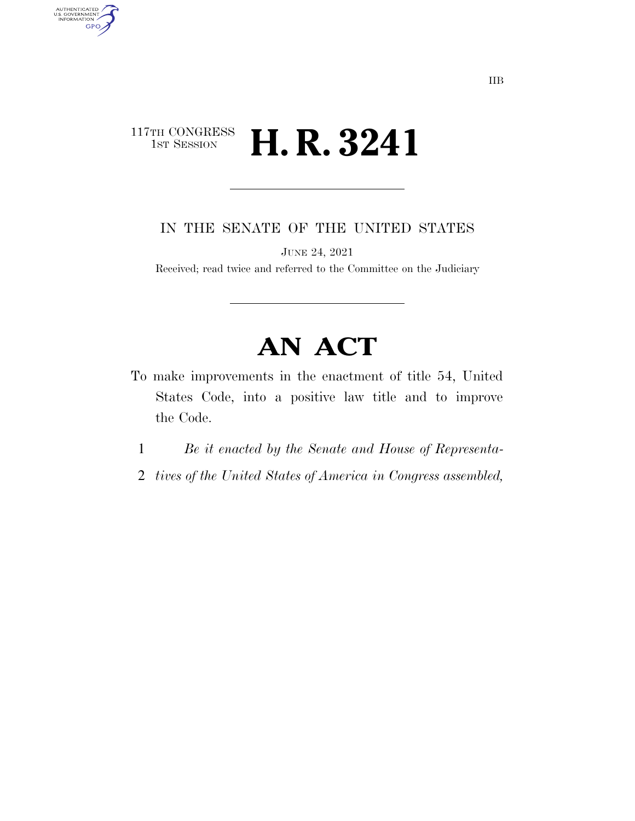# 117TH CONGRESS<br>1st Session **H. R. 3241**

AUTHENTICATED<br>U.S. GOVERNMENT<br>INFORMATION

**GPO** 

IN THE SENATE OF THE UNITED STATES

JUNE 24, 2021

Received; read twice and referred to the Committee on the Judiciary

# **AN ACT**

- To make improvements in the enactment of title 54, United States Code, into a positive law title and to improve the Code.
	- 1 *Be it enacted by the Senate and House of Representa-*
	- 2 *tives of the United States of America in Congress assembled,*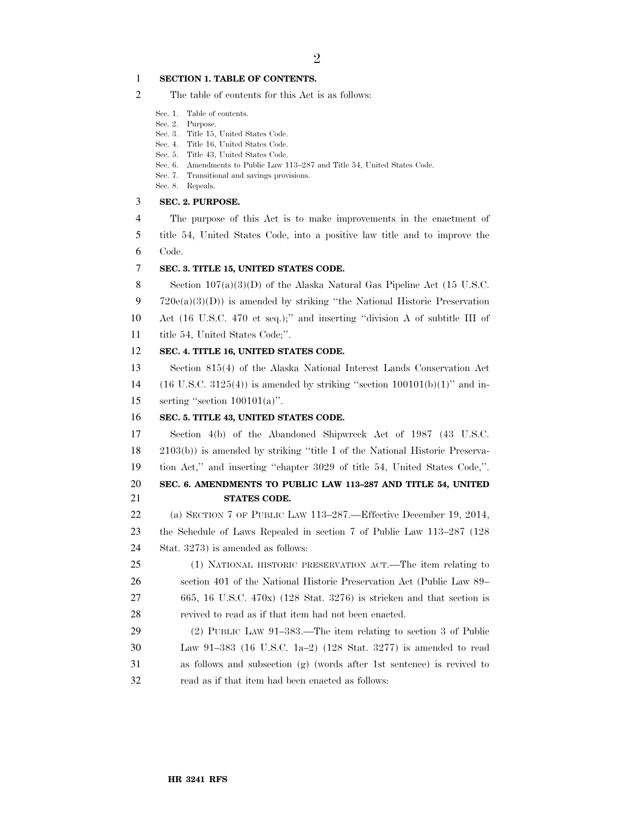#### **SECTION 1. TABLE OF CONTENTS.**

- The table of contents for this Act is as follows:
	- Sec. 1. Table of contents.
	- Sec. 2. Purpose.
	- Sec. 3. Title 15, United States Code.
	- Sec. 4. Title 16, United States Code.
	- Sec. 5. Title 43, United States Code.
	- Sec. 6. Amendments to Public Law 113–287 and Title 54, United States Code.
	- Sec. 7. Transitional and savings provisions.
	- Sec. 8. Repeals.

#### **SEC. 2. PURPOSE.**

- The purpose of this Act is to make improvements in the enactment of
- title 54, United States Code, into a positive law title and to improve the Code.

## **SEC. 3. TITLE 15, UNITED STATES CODE.**

8 Section  $107(a)(3)(D)$  of the Alaska Natural Gas Pipeline Act (15 U.S.C.

720e(a)(3)(D)) is amended by striking ''the National Historic Preservation

 Act (16 U.S.C. 470 et seq.);'' and inserting ''division A of subtitle III of title 54, United States Code;''.

## **SEC. 4. TITLE 16, UNITED STATES CODE.**

 Section 815(4) of the Alaska National Interest Lands Conservation Act 14 (16 U.S.C. 3125(4)) is amended by striking "section  $100101(b)(1)$ " and in-serting ''section 100101(a)''.

### **SEC. 5. TITLE 43, UNITED STATES CODE.**

 Section 4(b) of the Abandoned Shipwreck Act of 1987 (43 U.S.C. 2103(b)) is amended by striking ''title I of the National Historic Preserva-tion Act,'' and inserting ''chapter 3029 of title 54, United States Code,''.

## **SEC. 6. AMENDMENTS TO PUBLIC LAW 113–287 AND TITLE 54, UNITED STATES CODE.**

 (a) SECTION 7 OF PUBLIC LAW 113–287.—Effective December 19, 2014, the Schedule of Laws Repealed in section 7 of Public Law 113–287 (128 Stat. 3273) is amended as follows:

# (1) NATIONAL HISTORIC PRESERVATION ACT.—The item relating to section 401 of the National Historic Preservation Act (Public Law 89– 665, 16 U.S.C. 470x) (128 Stat. 3276) is stricken and that section is revived to read as if that item had not been enacted.

 (2) PUBLIC LAW 91–383.—The item relating to section 3 of Public Law 91–383 (16 U.S.C. 1a–2) (128 Stat. 3277) is amended to read as follows and subsection (g) (words after 1st sentence) is revived to read as if that item had been enacted as follows: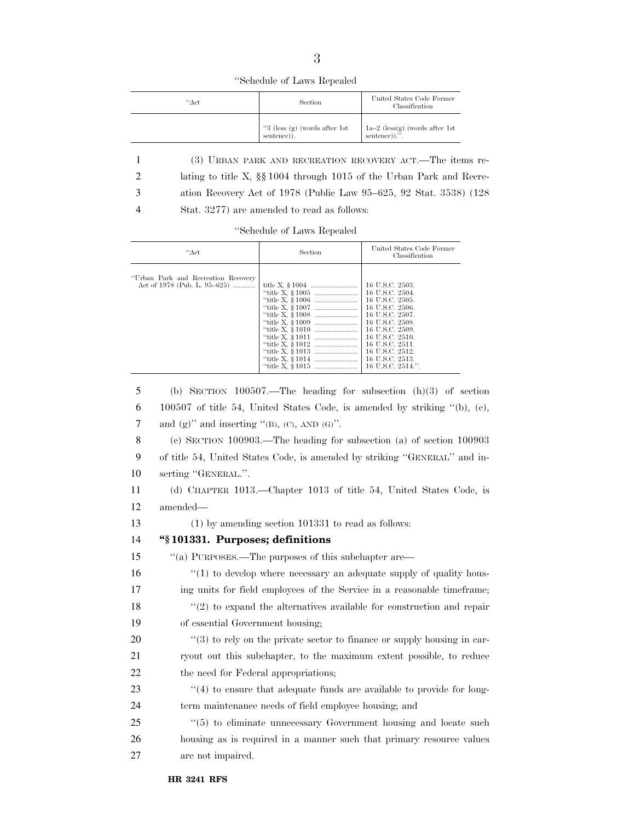''Schedule of Laws Repealed

| "Act | Section                                          | United States Code Former<br>Classification                             |
|------|--------------------------------------------------|-------------------------------------------------------------------------|
|      | " $3$ (less (g) (words after 1st)<br>sentence)). | $1\mathrm{a}{-2}$ (less(g) (words after $1\mathrm{st}$<br>sentence)).". |
|      |                                                  |                                                                         |

1 (3) URBAN PARK AND RECREATION RECOVERY ACT.—The items re-2 lating to title X, §§ 1004 through 1015 of the Urban Park and Recre-

3 ation Recovery Act of 1978 (Public Law 95–625, 92 Stat. 3538) (128

4 Stat. 3277) are amended to read as follows:

''Schedule of Laws Repealed

| "Act                                                                 | Section | United States Code Former<br>Classification                                                                                                                                                                       |
|----------------------------------------------------------------------|---------|-------------------------------------------------------------------------------------------------------------------------------------------------------------------------------------------------------------------|
| "Urban Park and Recreation Recovery"<br>Act of 1978 (Pub. L. 95–625) |         | 16 U.S.C. 2503.<br>  16 U.S.C. 2505.<br>16 U.S.C. 2506.<br>16 U.S.C. 2507.<br>16 U.S.C. 2508.<br>16 U.S.C. 2509.<br>16 U.S.C. 2510.<br>16 U.S.C. 2511.<br>16 U.S.C. 2512.<br>16 U.S.C. 2513.<br>16 U.S.C. 2514.". |

 (b) SECTION 100507.—The heading for subsection (h)(3) of section 100507 of title 54, United States Code, is amended by striking ''(b), (c), 7 and  $(g)$ " and inserting "(B), (C), AND (G)". (c) SECTION 100903.—The heading for subsection (a) of section 100903 of title 54, United States Code, is amended by striking ''GENERAL'' and in- serting ''GENERAL.''. (d) CHAPTER 1013.—Chapter 1013 of title 54, United States Code, is amended— (1) by amending section 101331 to read as follows: **''§ 101331. Purposes; definitions**  ''(a) PURPOSES.—The purposes of this subchapter are— 16 "(1) to develop where necessary an adequate supply of quality hous- ing units for field employees of the Service in a reasonable timeframe; 18 "(2) to expand the alternatives available for construction and repair of essential Government housing;  $\frac{1}{20}$  (3) to rely on the private sector to finance or supply housing in car- ryout out this subchapter, to the maximum extent possible, to reduce 22 the need for Federal appropriations; 23 "(4) to ensure that adequate funds are available to provide for long- term maintenance needs of field employee housing; and 25 "(5) to eliminate unnecessary Government housing and locate such housing as is required in a manner such that primary resource values are not impaired.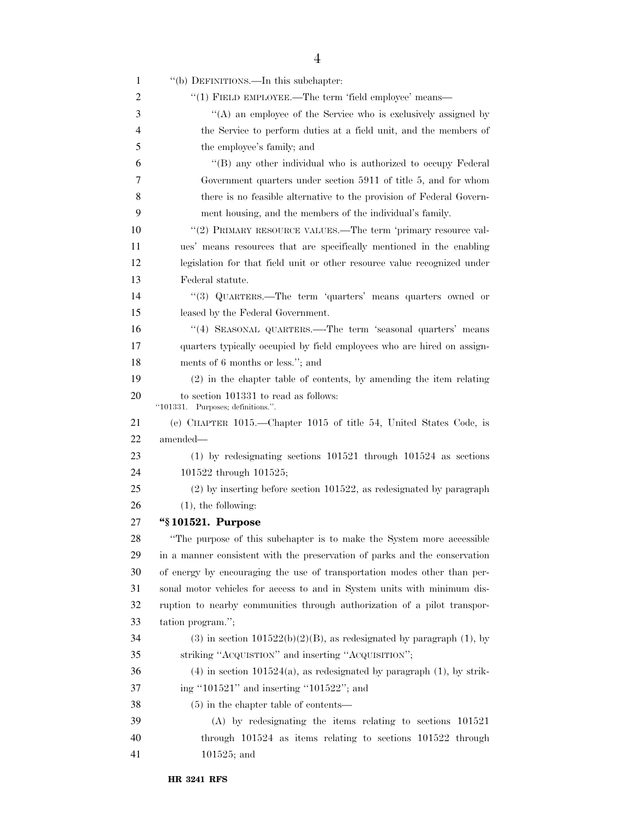| 1  | "(b) DEFINITIONS.—In this subchapter:                                      |
|----|----------------------------------------------------------------------------|
| 2  | "(1) FIELD EMPLOYEE.—The term 'field employee' means—                      |
| 3  | "(A) an employee of the Service who is exclusively assigned by             |
| 4  | the Service to perform duties at a field unit, and the members of          |
| 5  | the employee's family; and                                                 |
| 6  | "(B) any other individual who is authorized to occupy Federal              |
| 7  | Government quarters under section 5911 of title 5, and for whom            |
| 8  | there is no feasible alternative to the provision of Federal Govern-       |
| 9  | ment housing, and the members of the individual's family.                  |
| 10 | "(2) PRIMARY RESOURCE VALUES.—The term 'primary resource val-              |
| 11 | ues' means resources that are specifically mentioned in the enabling       |
| 12 | legislation for that field unit or other resource value recognized under   |
| 13 | Federal statute.                                                           |
| 14 | "(3) QUARTERS.—The term 'quarters' means quarters owned or                 |
| 15 | leased by the Federal Government.                                          |
| 16 | "(4) SEASONAL QUARTERS.—The term 'seasonal quarters' means                 |
| 17 | quarters typically occupied by field employees who are hired on assign-    |
| 18 | ments of 6 months or less."; and                                           |
| 19 | (2) in the chapter table of contents, by amending the item relating        |
| 20 | to section 101331 to read as follows:<br>"101331. Purposes; definitions.". |
| 21 | (e) CHAPTER 1015.—Chapter 1015 of title 54, United States Code, is         |
| 22 | amended—                                                                   |
| 23 | $(1)$ by redesignating sections $101521$ through $101524$ as sections      |
| 24 | 101522 through 101525;                                                     |
| 25 | $(2)$ by inserting before section 101522, as redesignated by paragraph     |
| 26 | $(1)$ , the following:                                                     |
| 27 | "\\$101521. Purpose                                                        |
| 28 | "The purpose of this subchapter is to make the System more accessible      |
| 29 | in a manner consistent with the preservation of parks and the conservation |
| 30 | of energy by encouraging the use of transportation modes other than per-   |
| 31 | sonal motor vehicles for access to and in System units with minimum dis-   |
| 32 | ruption to nearby communities through authorization of a pilot transpor-   |
| 33 | tation program.";                                                          |
| 34 | $(3)$ in section 101522(b)(2)(B), as redesignated by paragraph (1), by     |
| 35 | striking "ACQUISTION" and inserting "ACQUISITION";                         |
| 36 | $(4)$ in section 101524(a), as redesignated by paragraph $(1)$ , by strik- |
| 37 | ing "101521" and inserting "101522"; and                                   |
| 38 | $(5)$ in the chapter table of contents—                                    |
| 39 | $(A)$ by redesignating the items relating to sections $101521$             |
| 40 | through $101524$ as items relating to sections $101522$ through            |
| 41 | $101525$ ; and                                                             |
|    |                                                                            |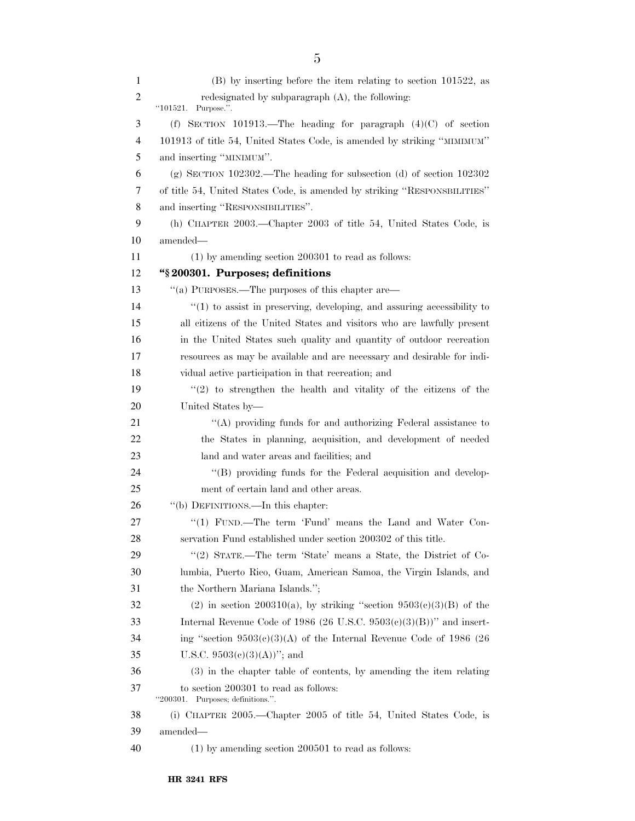| 1  | $(B)$ by inserting before the item relating to section 101522, as           |
|----|-----------------------------------------------------------------------------|
| 2  | redesignated by subparagraph (A), the following:<br>``101521.<br>Purpose.". |
| 3  | (f) SECTION 101913.—The heading for paragraph $(4)(C)$ of section           |
| 4  | 101913 of title 54, United States Code, is amended by striking "MIMIMUM"    |
| 5  | and inserting "MINIMUM".                                                    |
| 6  | (g) SECTION $102302$ . The heading for subsection (d) of section $102302$   |
| 7  | of title 54, United States Code, is amended by striking "RESPONSBILITIES"   |
| 8  | and inserting "RESPONSIBILITIES".                                           |
| 9  | (h) CHAPTER 2003.—Chapter 2003 of title 54, United States Code, is          |
| 10 | amended—                                                                    |
| 11 | $(1)$ by amending section 200301 to read as follows:                        |
| 12 | "\\$200301. Purposes; definitions                                           |
| 13 | "(a) PURPOSES.—The purposes of this chapter are—                            |
| 14 | $"(1)$ to assist in preserving, developing, and assuring accessibility to   |
| 15 | all citizens of the United States and visitors who are lawfully present     |
| 16 | in the United States such quality and quantity of outdoor recreation        |
| 17 | resources as may be available and are necessary and desirable for indi-     |
| 18 | vidual active participation in that recreation; and                         |
| 19 | $(2)$ to strengthen the health and vitality of the citizens of the          |
| 20 | United States by-                                                           |
| 21 | $\lq\lq$ providing funds for and authorizing Federal assistance to          |
| 22 | the States in planning, acquisition, and development of needed              |
| 23 | land and water areas and facilities; and                                    |
| 24 | "(B) providing funds for the Federal acquisition and develop-               |
| 25 | ment of certain land and other areas.                                       |
| 26 | "(b) DEFINITIONS.—In this chapter:                                          |
| 27 | "(1) FUND.—The term 'Fund' means the Land and Water Con-                    |
| 28 | servation Fund established under section 200302 of this title.              |
| 29 | "(2) STATE.—The term 'State' means a State, the District of Co-             |
| 30 | lumbia, Puerto Rico, Guam, American Samoa, the Virgin Islands, and          |
| 31 | the Northern Mariana Islands.";                                             |
| 32 | (2) in section 200310(a), by striking "section $9503(c)(3)(B)$ of the       |
| 33 | Internal Revenue Code of 1986 (26 U.S.C. 9503 $(e)(3)(B)$ )" and insert-    |
| 34 | ing "section $9503(c)(3)(A)$ of the Internal Revenue Code of 1986 (26       |
| 35 | U.S.C. $9503(e)(3)(A))$ "; and                                              |
| 36 | (3) in the chapter table of contents, by amending the item relating         |
| 37 | to section 200301 to read as follows:<br>"200301. Purposes; definitions.".  |
| 38 | (i) CHAPTER 2005.—Chapter 2005 of title 54, United States Code, is          |
| 39 | amended—                                                                    |
| 40 | $(1)$ by amending section 200501 to read as follows:                        |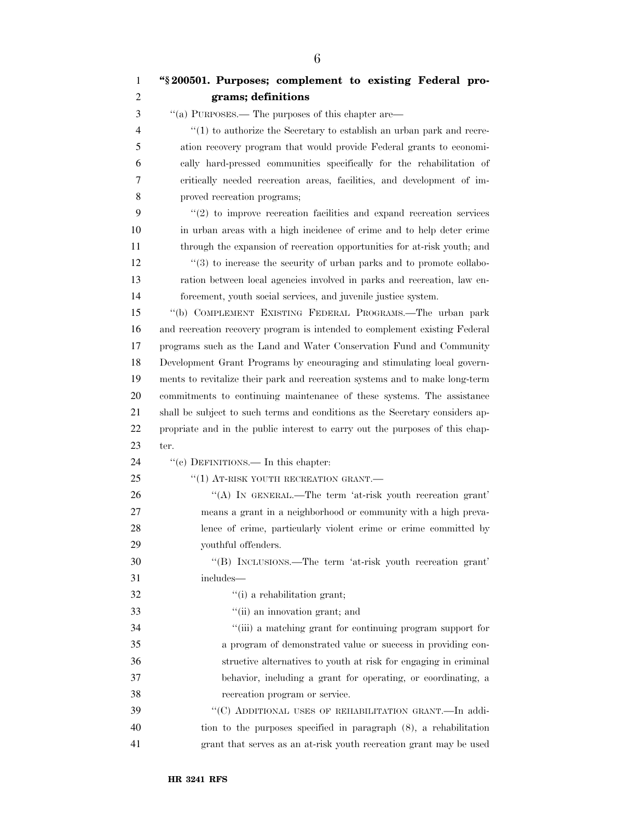| 1  | "§200501. Purposes; complement to existing Federal pro-                      |
|----|------------------------------------------------------------------------------|
| 2  | grams; definitions                                                           |
| 3  | "(a) PURPOSES.— The purposes of this chapter are—                            |
| 4  | $(1)$ to authorize the Secretary to establish an urban park and recre-       |
| 5  | ation recovery program that would provide Federal grants to economi-         |
| 6  | cally hard-pressed communities specifically for the rehabilitation of        |
| 7  | critically needed recreation areas, facilities, and development of im-       |
| 8  | proved recreation programs;                                                  |
| 9  | $\lq(2)$ to improve recreation facilities and expand recreation services     |
| 10 | in urban areas with a high incidence of crime and to help deter crime        |
| 11 | through the expansion of recreation opportunities for at-risk youth; and     |
| 12 | $(3)$ to increase the security of urban parks and to promote collabo-        |
| 13 | ration between local agencies involved in parks and recreation, law en-      |
| 14 | forcement, youth social services, and juvenile justice system.               |
| 15 | "(b) COMPLEMENT EXISTING FEDERAL PROGRAMS.-The urban park                    |
| 16 | and recreation recovery program is intended to complement existing Federal   |
| 17 | programs such as the Land and Water Conservation Fund and Community          |
| 18 | Development Grant Programs by encouraging and stimulating local govern-      |
| 19 | ments to revitalize their park and recreation systems and to make long-term  |
| 20 | commitments to continuing maintenance of these systems. The assistance       |
| 21 | shall be subject to such terms and conditions as the Secretary considers ap- |
| 22 | propriate and in the public interest to carry out the purposes of this chap- |
| 23 | ter.                                                                         |
| 24 | "(e) DEFINITIONS.— In this chapter:                                          |
| 25 | "(1) AT-RISK YOUTH RECREATION GRANT.                                         |
| 26 | "(A) IN GENERAL.—The term 'at-risk youth recreation grant'                   |
| 27 | means a grant in a neighborhood or community with a high preva-              |
| 28 | lence of crime, particularly violent crime or crime committed by             |
| 29 | youthful offenders.                                                          |
| 30 | "(B) INCLUSIONS.—The term 'at-risk youth recreation grant'                   |
| 31 | includes—                                                                    |
| 32 | "(i) a rehabilitation grant;                                                 |
| 33 | "(ii) an innovation grant; and                                               |
| 34 | "(iii) a matching grant for continuing program support for                   |
| 35 | a program of demonstrated value or success in providing con-                 |
| 36 | structive alternatives to youth at risk for engaging in criminal             |
| 37 | behavior, including a grant for operating, or coordinating, a                |
| 38 | recreation program or service.                                               |
| 39 | "(C) ADDITIONAL USES OF REHABILITATION GRANT.—In addi-                       |
| 40 | tion to the purposes specified in paragraph $(8)$ , a rehabilitation         |
| 41 | grant that serves as an at-risk youth recreation grant may be used           |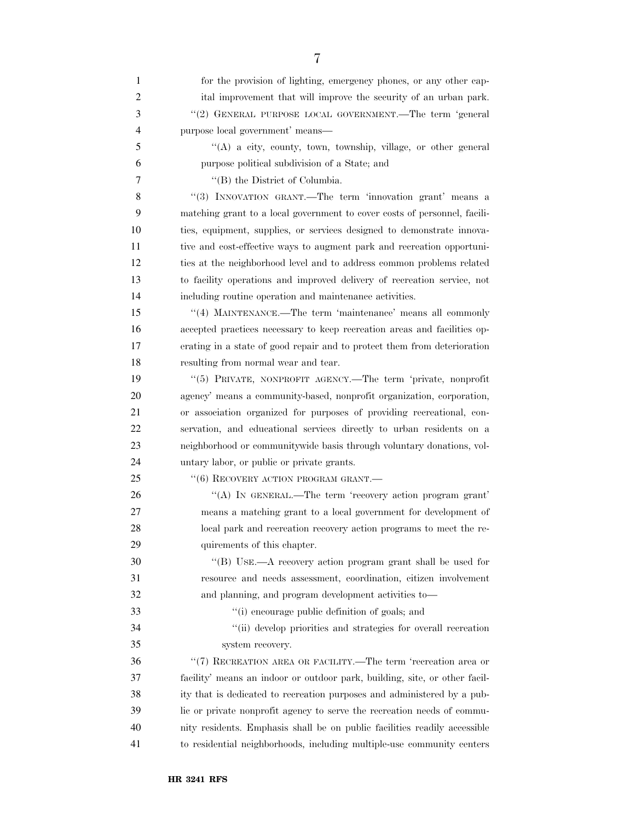| 1              | for the provision of lighting, emergency phones, or any other cap-         |
|----------------|----------------------------------------------------------------------------|
| $\overline{c}$ | ital improvement that will improve the security of an urban park.          |
| $\mathfrak{Z}$ | "(2) GENERAL PURPOSE LOCAL GOVERNMENT.—The term 'general                   |
| $\overline{4}$ | purpose local government' means-                                           |
| 5              | "(A) a city, county, town, township, village, or other general             |
| 6              | purpose political subdivision of a State; and                              |
| 7              | "(B) the District of Columbia.                                             |
| 8              | "(3) INNOVATION GRANT.—The term 'innovation grant' means a                 |
| 9              | matching grant to a local government to cover costs of personnel, facili-  |
| 10             | ties, equipment, supplies, or services designed to demonstrate innova-     |
| 11             | tive and cost-effective ways to augment park and recreation opportuni-     |
| 12             | ties at the neighborhood level and to address common problems related      |
| 13             | to facility operations and improved delivery of recreation service, not    |
| 14             | including routine operation and maintenance activities.                    |
| 15             | "(4) MAINTENANCE.—The term 'maintenance' means all commonly                |
| 16             | accepted practices necessary to keep recreation areas and facilities op-   |
| 17             | erating in a state of good repair and to protect them from deterioration   |
| 18             | resulting from normal wear and tear.                                       |
| 19             | "(5) PRIVATE, NONPROFIT AGENCY.—The term 'private, nonprofit               |
| 20             | agency' means a community-based, nonprofit organization, corporation,      |
| 21             | or association organized for purposes of providing recreational, con-      |
| 22             | servation, and educational services directly to urban residents on a       |
| 23             | neighborhood or communitywide basis through voluntary donations, vol-      |
| 24             | untary labor, or public or private grants.                                 |
| 25             | $``(6)$ RECOVERY ACTION PROGRAM GRANT.                                     |
| 26             | "(A) IN GENERAL.—The term 'recovery action program grant'                  |
| 27             | means a matching grant to a local government for development of            |
| 28             | local park and recreation recovery action programs to meet the re-         |
| 29             | quirements of this chapter.                                                |
| 30             | "(B) USE.—A recovery action program grant shall be used for                |
| 31             | resource and needs assessment, coordination, citizen involvement           |
| 32             | and planning, and program development activities to-                       |
| 33             | "(i) encourage public definition of goals; and                             |
| 34             | "(ii) develop priorities and strategies for overall recreation             |
| 35             | system recovery.                                                           |
| 36             | "(7) RECREATION AREA OR FACILITY.—The term 'recreation area or             |
| 37             | facility' means an indoor or outdoor park, building, site, or other facil- |
| 38             | ity that is dedicated to recreation purposes and administered by a pub-    |
| 39             | lic or private nonprofit agency to serve the recreation needs of commu-    |
| 40             | nity residents. Emphasis shall be on public facilities readily accessible  |
| 41             | to residential neighborhoods, including multiple-use community centers     |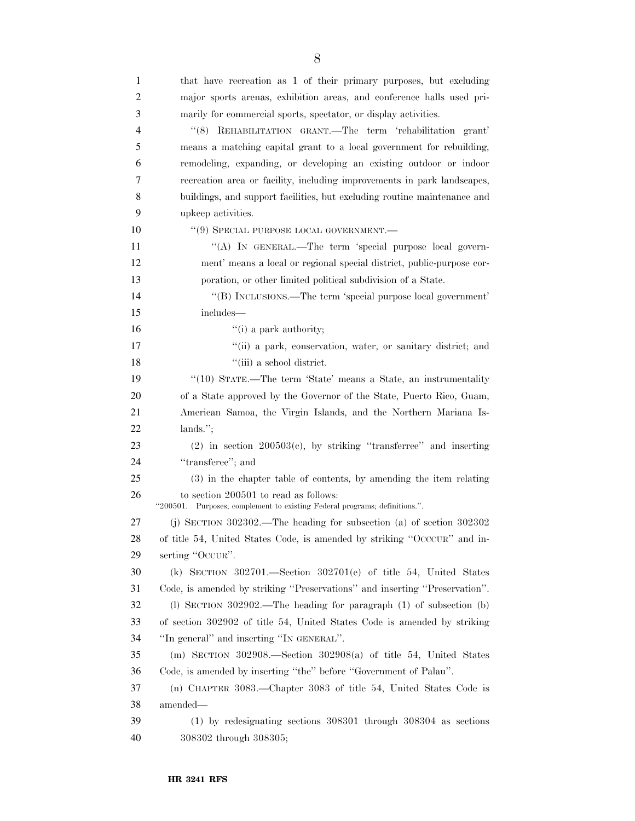| 1  | that have recreation as 1 of their primary purposes, but excluding                                                  |
|----|---------------------------------------------------------------------------------------------------------------------|
| 2  | major sports arenas, exhibition areas, and conference halls used pri-                                               |
| 3  | marily for commercial sports, spectator, or display activities.                                                     |
| 4  | "(8) REHABILITATION GRANT.—The term 'rehabilitation grant'                                                          |
| 5  | means a matching capital grant to a local government for rebuilding,                                                |
| 6  | remodeling, expanding, or developing an existing outdoor or indoor                                                  |
| 7  | recreation area or facility, including improvements in park landscapes,                                             |
| 8  | buildings, and support facilities, but excluding routine maintenance and                                            |
| 9  | upkeep activities.                                                                                                  |
| 10 | $``(9)$ SPECIAL PURPOSE LOCAL GOVERNMENT.                                                                           |
| 11 | "(A) IN GENERAL.—The term 'special purpose local govern-                                                            |
| 12 | ment' means a local or regional special district, public-purpose cor-                                               |
| 13 | poration, or other limited political subdivision of a State.                                                        |
| 14 | "(B) INCLUSIONS.—The term 'special purpose local government'                                                        |
| 15 | includes—                                                                                                           |
| 16 | $\lq\lq$ (i) a park authority;                                                                                      |
| 17 | "(ii) a park, conservation, water, or sanitary district; and                                                        |
| 18 | "(iii) a school district.                                                                                           |
| 19 | "(10) STATE.—The term 'State' means a State, an instrumentality                                                     |
| 20 | of a State approved by the Governor of the State, Puerto Rico, Guam,                                                |
| 21 | American Samoa, the Virgin Islands, and the Northern Mariana Is-                                                    |
| 22 | $lands.$ ";                                                                                                         |
| 23 | $(2)$ in section $200503(c)$ , by striking "transferree" and inserting                                              |
| 24 | "transferee"; and                                                                                                   |
| 25 | (3) in the chapter table of contents, by amending the item relating                                                 |
| 26 | to section 200501 to read as follows:<br>"200501. Purposes; complement to existing Federal programs; definitions.". |
| 27 | (j) SECTION $302302$ . The heading for subsection (a) of section $302302$                                           |
| 28 | of title 54, United States Code, is amended by striking "OCCCUR" and in-                                            |
| 29 | serting "OCCUR".                                                                                                    |
| 30 | (k) SECTION 302701.—Section 302701(e) of title 54, United States                                                    |
| 31 | Code, is amended by striking "Preservations" and inserting "Preservation".                                          |
| 32 | (l) SECTION $302902$ .—The heading for paragraph (1) of subsection (b)                                              |
| 33 | of section 302902 of title 54, United States Code is amended by striking                                            |
| 34 | "In general" and inserting "IN GENERAL".                                                                            |
| 35 | (m) SECTION 302908.—Section 302908(a) of title 54, United States                                                    |
| 36 | Code, is amended by inserting "the" before "Government of Palau".                                                   |
| 37 | (n) CHAPTER 3083.—Chapter 3083 of title 54, United States Code is                                                   |
| 38 | amended—                                                                                                            |
| 39 | $(1)$ by redesignating sections 308301 through 308304 as sections                                                   |
| 40 | 308302 through 308305;                                                                                              |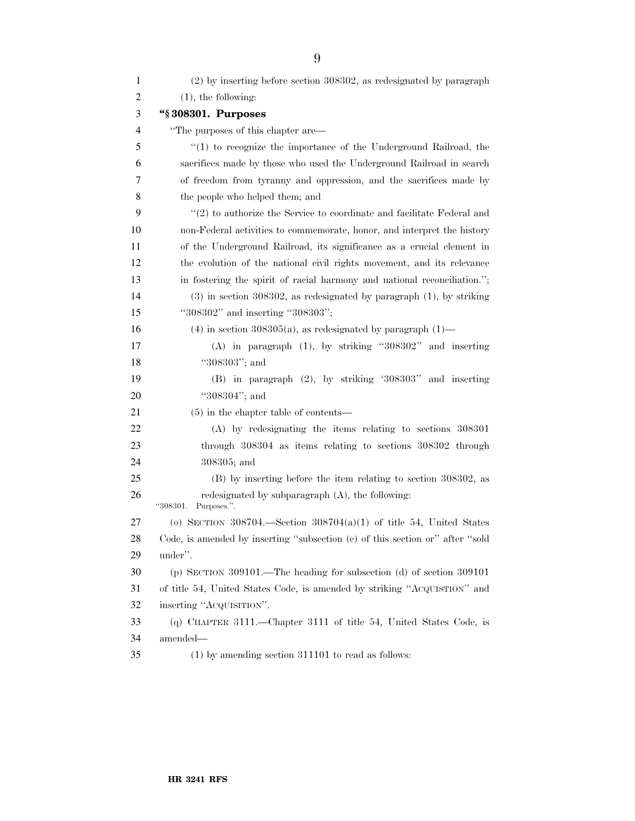| $\mathbf{1}$   | (2) by inserting before section 308302, as redesignated by paragraph          |
|----------------|-------------------------------------------------------------------------------|
| $\overline{c}$ | $(1)$ , the following:                                                        |
| 3              | "\\$308301. Purposes                                                          |
| 4              | "The purposes of this chapter are—                                            |
| 5              | $(1)$ to recognize the importance of the Underground Railroad, the            |
| 6              | sacrifices made by those who used the Underground Railroad in search          |
| 7              | of freedom from tyranny and oppression, and the sacrifices made by            |
| 8              | the people who helped them; and                                               |
| 9              | $\lq(2)$ to authorize the Service to coordinate and facilitate Federal and    |
| 10             | non-Federal activities to commemorate, honor, and interpret the history       |
| 11             | of the Underground Railroad, its significance as a crucial element in         |
| 12             | the evolution of the national civil rights movement, and its relevance        |
| 13             | in fostering the spirit of racial harmony and national reconciliation.";      |
| 14             | $(3)$ in section 308302, as redesignated by paragraph $(1)$ , by striking     |
| 15             | "308302" and inserting "308303";                                              |
| 16             | $(4)$ in section 308305(a), as redesignated by paragraph $(1)$ —              |
| 17             | $(A)$ in paragraph $(1)$ , by striking "308302" and inserting                 |
| 18             | "308303"; and                                                                 |
| 19             | $(B)$ in paragraph $(2)$ , by striking '308303" and inserting                 |
| 20             | "308304"; and                                                                 |
| 21             | $(5)$ in the chapter table of contents—                                       |
| 22             | $(A)$ by redesignating the items relating to sections 308301                  |
| 23             | through 308304 as items relating to sections 308302 through                   |
| 24             | 308305; and                                                                   |
| 25             | (B) by inserting before the item relating to section 308302, as               |
| 26             | redesignated by subparagraph $(A)$ , the following:<br>"308301. Purposes.".   |
| 27             | (o) SECTION 308704.—Section $308704(a)(1)$ of title 54, United States         |
| 28             | Code, is amended by inserting "subsection (c) of this section or" after "sold |
| 29             | under".                                                                       |
| 30             | (p) SECTION 309101.—The heading for subsection (d) of section $309101$        |
| 31             | of title 54, United States Code, is amended by striking "ACQUISTION" and      |
| 32             | inserting "ACQUISITION".                                                      |
| 33             | (q) CHAPTER 3111.—Chapter 3111 of title 54, United States Code, is            |
| 34             | amended-                                                                      |
| 35             | $(1)$ by amending section 311101 to read as follows:                          |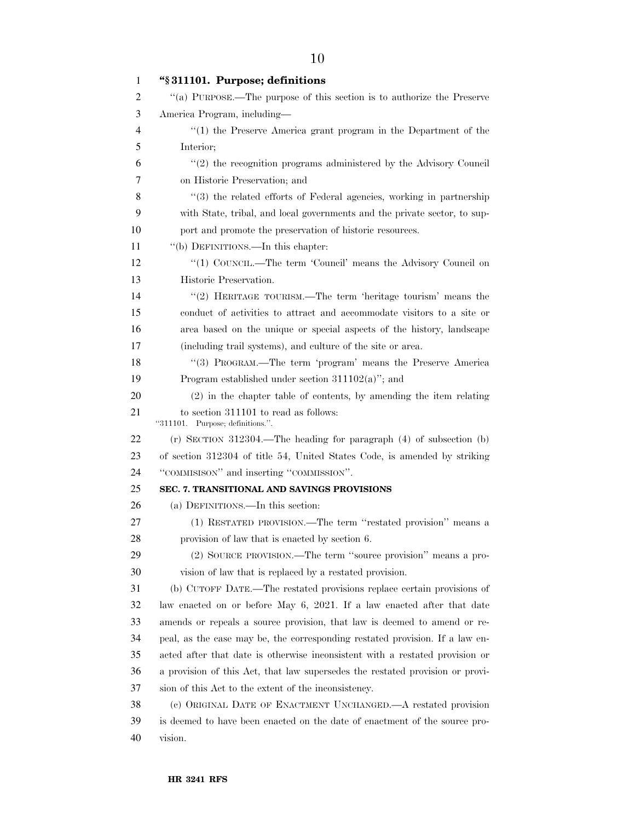| 1  | "§311101. Purpose; definitions                                                |
|----|-------------------------------------------------------------------------------|
| 2  | "(a) PURPOSE.—The purpose of this section is to authorize the Preserve        |
| 3  | America Program, including—                                                   |
| 4  | $(1)$ the Preserve America grant program in the Department of the             |
| 5  | Interior;                                                                     |
| 6  | $\lq(2)$ the recognition programs administered by the Advisory Council        |
| 7  | on Historic Preservation; and                                                 |
| 8  | "(3) the related efforts of Federal agencies, working in partnership          |
| 9  | with State, tribal, and local governments and the private sector, to sup-     |
| 10 | port and promote the preservation of historic resources.                      |
| 11 | "(b) DEFINITIONS.—In this chapter:                                            |
| 12 | "(1) COUNCIL.—The term 'Council' means the Advisory Council on                |
| 13 | Historic Preservation.                                                        |
| 14 | "(2) HERITAGE TOURISM.—The term 'heritage tourism' means the                  |
| 15 | conduct of activities to attract and accommodate visitors to a site or        |
| 16 | area based on the unique or special aspects of the history, landscape         |
| 17 | (including trail systems), and culture of the site or area.                   |
| 18 | "(3) PROGRAM.—The term 'program' means the Preserve America                   |
| 19 | Program established under section $311102(a)$ "; and                          |
| 20 | (2) in the chapter table of contents, by amending the item relating           |
| 21 | to section 311101 to read as follows:<br>"311101. Purpose; definitions.".     |
| 22 | $(r)$ SECTION 312304.—The heading for paragraph $(4)$ of subsection $(b)$     |
| 23 | of section 312304 of title 54, United States Code, is amended by striking     |
| 24 | "COMMISISON" and inserting "COMMISSION".                                      |
| 25 | SEC. 7. TRANSITIONAL AND SAVINGS PROVISIONS                                   |
| 26 | (a) DEFINITIONS.—In this section:                                             |
| 27 | (1) RESTATED PROVISION.—The term "restated provision" means a                 |
| 28 | provision of law that is enacted by section 6.                                |
| 29 | (2) SOURCE PROVISION.—The term "source provision" means a pro-                |
| 30 | vision of law that is replaced by a restated provision.                       |
| 31 | (b) CUTOFF DATE.—The restated provisions replace certain provisions of        |
| 32 | law enacted on or before May 6, 2021. If a law enacted after that date        |
| 33 | amends or repeals a source provision, that law is deemed to amend or re-      |
| 34 | peal, as the case may be, the corresponding restated provision. If a law en-  |
| 35 | acted after that date is otherwise inconsistent with a restated provision or  |
| 36 | a provision of this Act, that law supersedes the restated provision or provi- |
| 37 | sion of this Act to the extent of the inconsistency.                          |
| 38 | (c) ORIGINAL DATE OF ENACTMENT UNCHANGED.—A restated provision                |
| 39 | is deemed to have been enacted on the date of enactment of the source pro-    |
| 40 | vision.                                                                       |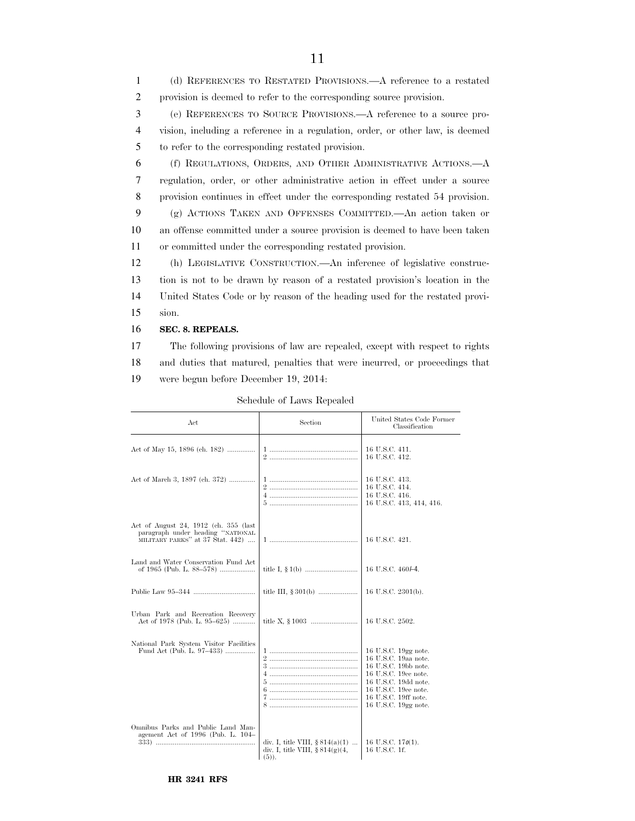(d) REFERENCES TO RESTATED PROVISIONS.—A reference to a restated provision is deemed to refer to the corresponding source provision. (e) REFERENCES TO SOURCE PROVISIONS.—A reference to a source pro- vision, including a reference in a regulation, order, or other law, is deemed to refer to the corresponding restated provision. (f) REGULATIONS, ORDERS, AND OTHER ADMINISTRATIVE ACTIONS.—A regulation, order, or other administrative action in effect under a source provision continues in effect under the corresponding restated 54 provision. (g) ACTIONS TAKEN AND OFFENSES COMMITTED.—An action taken or an offense committed under a source provision is deemed to have been taken or committed under the corresponding restated provision. (h) LEGISLATIVE CONSTRUCTION.—An inference of legislative construc- tion is not to be drawn by reason of a restated provision's location in the United States Code or by reason of the heading used for the restated provi-15 sion. **SEC. 8. REPEALS.** 

11

17 The following provisions of law are repealed, except with respect to rights 18 and duties that matured, penalties that were incurred, or proceedings that 19 were begun before December 19, 2014:

Schedule of Laws Repealed

| $_{\rm Act}$                                                                                                   | Section                                                                             | United States Code Former<br>Classification                                                                                                                                                  |
|----------------------------------------------------------------------------------------------------------------|-------------------------------------------------------------------------------------|----------------------------------------------------------------------------------------------------------------------------------------------------------------------------------------------|
| Act of May 15, 1896 (ch. 182)                                                                                  |                                                                                     | 16 U.S.C. 411.<br>16 U.S.C. 412.                                                                                                                                                             |
| Act of March 3, 1897 (ch. 372)                                                                                 |                                                                                     | 16 U.S.C. 413.<br>16 U.S.C. 414.<br>16 U.S.C. 416.<br>16 U.S.C. 413, 414, 416.                                                                                                               |
| Act of August 24, 1912 (ch. 355 (last<br>paragraph under heading "NATIONAL<br>MILITARY PARKS" at 37 Stat. 442) |                                                                                     | 16 U.S.C. 421.                                                                                                                                                                               |
| Land and Water Conservation Fund Act<br>of 1965 (Pub. L. 88-578)                                               |                                                                                     | 16 U.S.C. 460/-4.                                                                                                                                                                            |
|                                                                                                                |                                                                                     | 16 U.S.C. 2301(b).                                                                                                                                                                           |
| Urban Park and Recreation Recovery<br>Act of 1978 (Pub. L. 95–625)                                             |                                                                                     | 16 U.S.C. 2502.                                                                                                                                                                              |
| National Park System Visitor Facilities<br>Fund Act (Pub. L. 97–433)                                           |                                                                                     | 16 U.S.C. 19gg note.<br>16 U.S.C. 19aa note.<br>16 U.S.C. 19bb note.<br>16 U.S.C. 19cc note.<br>16 U.S.C. 19dd note.<br>16 U.S.C. 19ee note.<br>16 U.S.C. 19ff note.<br>16 U.S.C. 19gg note. |
| Omnibus Parks and Public Land Man-<br>agement Act of 1996 (Pub. L. 104–                                        | div. I, title VIII, $§ 814(a)(1)$<br>div. I, title VIII, $\S 814(g)(4,$<br>$(5)$ ). | 16 U.S.C. $170(1)$ .<br>16 U.S.C. 1f.                                                                                                                                                        |